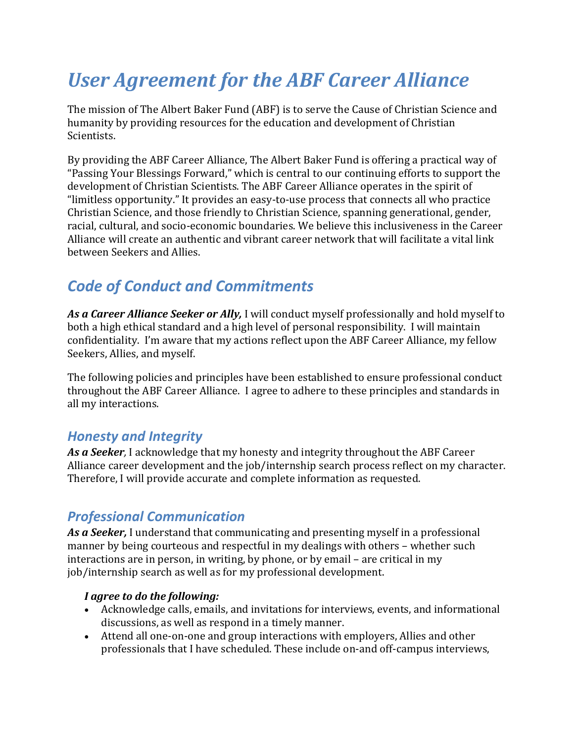# *User Agreement for the ABF Career Alliance*

The mission of The Albert Baker Fund (ABF) is to serve the Cause of Christian Science and humanity by providing resources for the education and development of Christian Scientists.

By providing the ABF Career Alliance, The Albert Baker Fund is offering a practical way of "Passing Your Blessings Forward," which is central to our continuing efforts to support the development of Christian Scientists. The ABF Career Alliance operates in the spirit of "limitless opportunity." It provides an easy-to-use process that connects all who practice Christian Science, and those friendly to Christian Science, spanning generational, gender, racial, cultural, and socio-economic boundaries. We believe this inclusiveness in the Career Alliance will create an authentic and vibrant career network that will facilitate a vital link between Seekers and Allies.

# *Code of Conduct and Commitments*

*As a Career Alliance Seeker or Ally,* I will conduct myself professionally and hold myself to both a high ethical standard and a high level of personal responsibility. I will maintain confidentiality. I'm aware that my actions reflect upon the ABF Career Alliance, my fellow Seekers, Allies, and myself.

The following policies and principles have been established to ensure professional conduct throughout the ABF Career Alliance. I agree to adhere to these principles and standards in all my interactions.

### *Honesty and Integrity*

*As a Seeker,* I acknowledge that my honesty and integrity throughout the ABF Career Alliance career development and the job/internship search process reflect on my character. Therefore, I will provide accurate and complete information as requested.

# *Professional Communication*

*As a Seeker,* I understand that communicating and presenting myself in a professional manner by being courteous and respectful in my dealings with others – whether such interactions are in person, in writing, by phone, or by email – are critical in my job/internship search as well as for my professional development.

#### *I agree to do the following:*

- Acknowledge calls, emails, and invitations for interviews, events, and informational discussions, as well as respond in a timely manner.
- Attend all one-on-one and group interactions with employers, Allies and other professionals that I have scheduled. These include on-and off-campus interviews,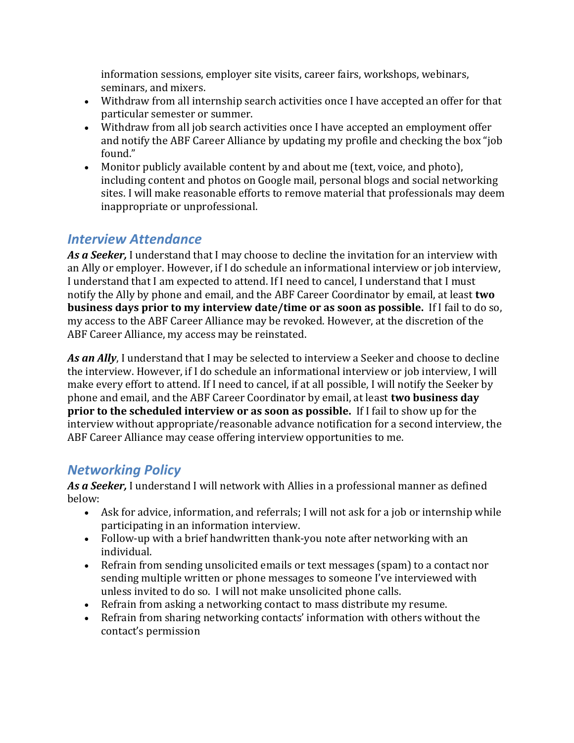information sessions, employer site visits, career fairs, workshops, webinars, seminars, and mixers.

- Withdraw from all internship search activities once I have accepted an offer for that particular semester or summer.
- Withdraw from all job search activities once I have accepted an employment offer and notify the ABF Career Alliance by updating my profile and checking the box "job found."
- Monitor publicly available content by and about me (text, voice, and photo), including content and photos on Google mail, personal blogs and social networking sites. I will make reasonable efforts to remove material that professionals may deem inappropriate or unprofessional.

### *Interview Attendance*

*As a Seeker,* I understand that I may choose to decline the invitation for an interview with an Ally or employer. However, if I do schedule an informational interview or job interview, I understand that I am expected to attend. If I need to cancel, I understand that I must notify the Ally by phone and email, and the ABF Career Coordinator by email, at least **two business days prior to my interview date/time or as soon as possible.** If I fail to do so, my access to the ABF Career Alliance may be revoked. However, at the discretion of the ABF Career Alliance, my access may be reinstated.

*As an Ally*, I understand that I may be selected to interview a Seeker and choose to decline the interview. However, if I do schedule an informational interview or job interview, I will make every effort to attend. If I need to cancel, if at all possible, I will notify the Seeker by phone and email, and the ABF Career Coordinator by email, at least **two business day prior to the scheduled interview or as soon as possible.** If I fail to show up for the interview without appropriate/reasonable advance notification for a second interview, the ABF Career Alliance may cease offering interview opportunities to me.

# *Networking Policy*

*As a Seeker,* I understand I will network with Allies in a professional manner as defined below:

- Ask for advice, information, and referrals; I will not ask for a job or internship while participating in an information interview.
- Follow-up with a brief handwritten thank-you note after networking with an individual.
- Refrain from sending unsolicited emails or text messages (spam) to a contact nor sending multiple written or phone messages to someone I've interviewed with unless invited to do so. I will not make unsolicited phone calls.
- Refrain from asking a networking contact to mass distribute my resume.
- Refrain from sharing networking contacts' information with others without the contact's permission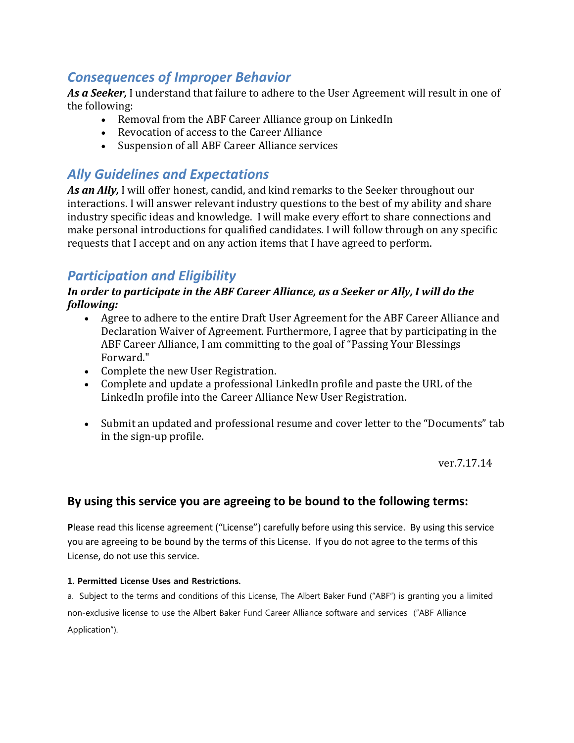### *Consequences of Improper Behavior*

*As a Seeker,* I understand that failure to adhere to the User Agreement will result in one of the following:

- Removal from the ABF Career Alliance group on LinkedIn
- Revocation of access to the Career Alliance
- Suspension of all ABF Career Alliance services

## *Ally Guidelines and Expectations*

*As an Ally,* I will offer honest, candid, and kind remarks to the Seeker throughout our interactions. I will answer relevant industry questions to the best of my ability and share industry specific ideas and knowledge. I will make every effort to share connections and make personal introductions for qualified candidates. I will follow through on any specific requests that I accept and on any action items that I have agreed to perform.

## *Participation and Eligibility*

#### *In order to participate in the ABF Career Alliance, as a Seeker or Ally, I will do the following:*

- Agree to adhere to the entire Draft User Agreement for the ABF Career Alliance and Declaration Waiver of Agreement. Furthermore, I agree that by participating in the ABF Career Alliance, I am committing to the goal of "Passing Your Blessings Forward."
- Complete the new User Registration.
- Complete and update a professional LinkedIn profile and paste the URL of the LinkedIn profile into the Career Alliance New User Registration.
- Submit an updated and professional resume and cover letter to the "Documents" tab in the sign-up profile.

ver.7.17.14

#### **By using this service you are agreeing to be bound to the following terms:**

**P**lease read this license agreement ("License") carefully before using this service. By using this service you are agreeing to be bound by the terms of this License. If you do not agree to the terms of this License, do not use this service.

#### **1. Permitted License Uses and Restrictions.**

a. Subject to the terms and conditions of this License, The Albert Baker Fund ("ABF") is granting you a limited non-exclusive license to use the Albert Baker Fund Career Alliance software and services ("ABF Alliance Application").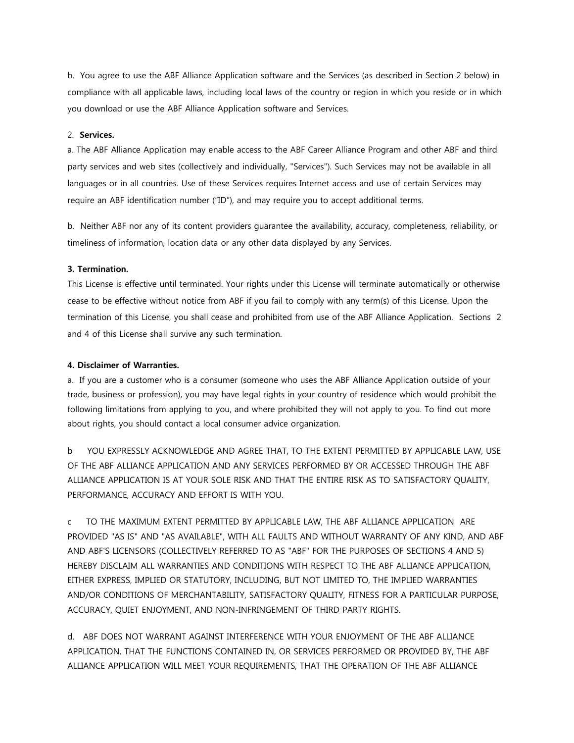b. You agree to use the ABF Alliance Application software and the Services (as described in Section 2 below) in compliance with all applicable laws, including local laws of the country or region in which you reside or in which you download or use the ABF Alliance Application software and Services.

#### 2. **Services.**

a. The ABF Alliance Application may enable access to the ABF Career Alliance Program and other ABF and third party services and web sites (collectively and individually, "Services"). Such Services may not be available in all languages or in all countries. Use of these Services requires Internet access and use of certain Services may require an ABF identification number ("ID"), and may require you to accept additional terms.

b. Neither ABF nor any of its content providers guarantee the availability, accuracy, completeness, reliability, or timeliness of information, location data or any other data displayed by any Services.

#### **3. Termination.**

This License is effective until terminated. Your rights under this License will terminate automatically or otherwise cease to be effective without notice from ABF if you fail to comply with any term(s) of this License. Upon the termination of this License, you shall cease and prohibited from use of the ABF Alliance Application. Sections 2 and 4 of this License shall survive any such termination.

#### **4. Disclaimer of Warranties.**

a. If you are a customer who is a consumer (someone who uses the ABF Alliance Application outside of your trade, business or profession), you may have legal rights in your country of residence which would prohibit the following limitations from applying to you, and where prohibited they will not apply to you. To find out more about rights, you should contact a local consumer advice organization.

b YOU EXPRESSLY ACKNOWLEDGE AND AGREE THAT, TO THE EXTENT PERMITTED BY APPLICABLE LAW, USE OF THE ABF ALLIANCE APPLICATION AND ANY SERVICES PERFORMED BY OR ACCESSED THROUGH THE ABF ALLIANCE APPLICATION IS AT YOUR SOLE RISK AND THAT THE ENTIRE RISK AS TO SATISFACTORY QUALITY, PERFORMANCE, ACCURACY AND EFFORT IS WITH YOU.

c TO THE MAXIMUM EXTENT PERMITTED BY APPLICABLE LAW, THE ABF ALLIANCE APPLICATION ARE PROVIDED "AS IS" AND "AS AVAILABLE", WITH ALL FAULTS AND WITHOUT WARRANTY OF ANY KIND, AND ABF AND ABF'S LICENSORS (COLLECTIVELY REFERRED TO AS "ABF" FOR THE PURPOSES OF SECTIONS 4 AND 5) HEREBY DISCLAIM ALL WARRANTIES AND CONDITIONS WITH RESPECT TO THE ABF ALLIANCE APPLICATION, EITHER EXPRESS, IMPLIED OR STATUTORY, INCLUDING, BUT NOT LIMITED TO, THE IMPLIED WARRANTIES AND/OR CONDITIONS OF MERCHANTABILITY, SATISFACTORY QUALITY, FITNESS FOR A PARTICULAR PURPOSE, ACCURACY, QUIET ENJOYMENT, AND NON-INFRINGEMENT OF THIRD PARTY RIGHTS.

d. ABF DOES NOT WARRANT AGAINST INTERFERENCE WITH YOUR ENJOYMENT OF THE ABF ALLIANCE APPLICATION, THAT THE FUNCTIONS CONTAINED IN, OR SERVICES PERFORMED OR PROVIDED BY, THE ABF ALLIANCE APPLICATION WILL MEET YOUR REQUIREMENTS, THAT THE OPERATION OF THE ABF ALLIANCE